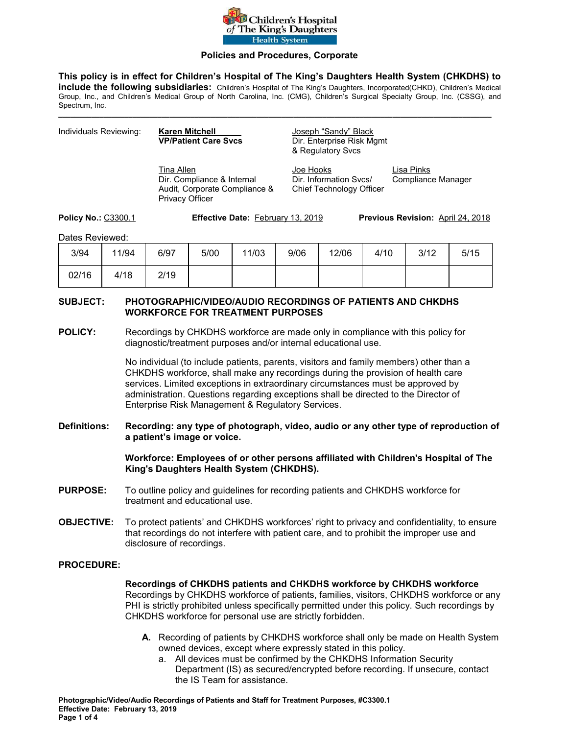

#### **Policies and Procedures, Corporate**

**This policy is in effect for Children's Hospital of The King's Daughters Health System (CHKDHS) to include the following subsidiaries:** Children's Hospital of The King's Daughters, Incorporated(CHKD), Children's Medical Group, Inc., and Children's Medical Group of North Carolina, Inc. (CMG), Children's Surgical Specialty Group, Inc. (CSSG), and Spectrum, Inc.

**\_\_\_\_\_\_\_\_\_\_\_\_\_\_\_\_\_\_\_\_\_\_\_\_\_\_\_\_\_\_\_\_\_\_\_\_\_\_\_\_\_\_\_\_\_\_\_\_\_\_\_\_\_\_\_\_\_\_\_\_\_\_\_\_\_\_\_\_\_\_\_\_\_\_\_\_\_\_\_\_\_\_\_\_\_\_\_\_\_\_\_\_\_\_\_\_\_\_\_\_\_\_\_\_\_** 

| Individuals Reviewing: | <b>Karen Mitchell</b><br><b>VP/Patient Care Sycs</b>                                                | Joseph "Sandy" Black<br>Dir. Enterprise Risk Mgmt<br>& Regulatory Svcs |                                  |
|------------------------|-----------------------------------------------------------------------------------------------------|------------------------------------------------------------------------|----------------------------------|
|                        | Tina Allen<br>Dir. Compliance & Internal<br>Audit, Corporate Compliance &<br><b>Privacy Officer</b> | Joe Hooks<br>Dir. Information Sycs/<br>Chief Technology Officer        | Lisa Pinks<br>Compliance Manager |

**Policy No.:** C3300.1 **Effective Date:** February 13, 2019 **Previous Revision:** April 24, 2018

Dates Reviewed:

| 3/94  | 11/94 | 6/97 | 5/00 | 11/03 | 9/06 | 12/06 | 4/10 | 3/12 | 5/15 |
|-------|-------|------|------|-------|------|-------|------|------|------|
| 02/16 | 4/18  | 2/19 |      |       |      |       |      |      |      |

### **SUBJECT: PHOTOGRAPHIC/VIDEO/AUDIO RECORDINGS OF PATIENTS AND CHKDHS WORKFORCE FOR TREATMENT PURPOSES**

**POLICY:** Recordings by CHKDHS workforce are made only in compliance with this policy for diagnostic/treatment purposes and/or internal educational use.

> No individual (to include patients, parents, visitors and family members) other than a CHKDHS workforce, shall make any recordings during the provision of health care services. Limited exceptions in extraordinary circumstances must be approved by administration. Questions regarding exceptions shall be directed to the Director of Enterprise Risk Management & Regulatory Services.

**Definitions: Recording: any type of photograph, video, audio or any other type of reproduction of a patient's image or voice.** 

> **Workforce: Employees of or other persons affiliated with Children's Hospital of The King's Daughters Health System (CHKDHS).**

- **PURPOSE:** To outline policy and guidelines for recording patients and CHKDHS workforce for treatment and educational use.
- **OBJECTIVE:** To protect patients' and CHKDHS workforces' right to privacy and confidentiality, to ensure that recordings do not interfere with patient care, and to prohibit the improper use and disclosure of recordings.

#### **PROCEDURE:**

**Recordings of CHKDHS patients and CHKDHS workforce by CHKDHS workforce**  Recordings by CHKDHS workforce of patients, families, visitors, CHKDHS workforce or any PHI is strictly prohibited unless specifically permitted under this policy. Such recordings by CHKDHS workforce for personal use are strictly forbidden.

- **A.** Recording of patients by CHKDHS workforce shall only be made on Health System owned devices, except where expressly stated in this policy.
	- a. All devices must be confirmed by the CHKDHS Information Security Department (IS) as secured/encrypted before recording. If unsecure, contact the IS Team for assistance.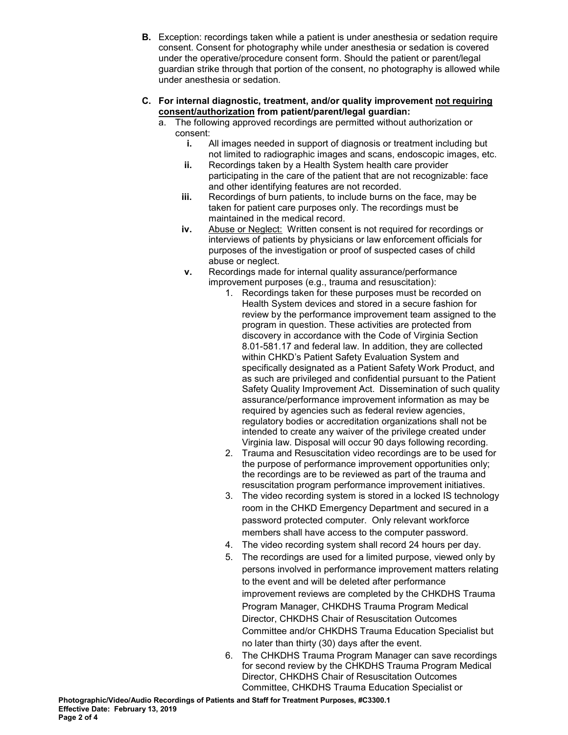- **B.** Exception: recordings taken while a patient is under anesthesia or sedation require consent. Consent for photography while under anesthesia or sedation is covered under the operative/procedure consent form. Should the patient or parent/legal guardian strike through that portion of the consent, no photography is allowed while under anesthesia or sedation.
- **C. For internal diagnostic, treatment, and/or quality improvement not requiring consent/authorization from patient/parent/legal guardian:** 
	- a. The following approved recordings are permitted without authorization or consent:
		- **i.** All images needed in support of diagnosis or treatment including but not limited to radiographic images and scans, endoscopic images, etc.
		- **ii.** Recordings taken by a Health System health care provider participating in the care of the patient that are not recognizable: face and other identifying features are not recorded.
		- **iii.** Recordings of burn patients, to include burns on the face, may be taken for patient care purposes only. The recordings must be maintained in the medical record.
		- **iv.** Abuse or Neglect: Written consent is not required for recordings or interviews of patients by physicians or law enforcement officials for purposes of the investigation or proof of suspected cases of child abuse or neglect.
		- **v.** Recordings made for internal quality assurance/performance improvement purposes (e.g., trauma and resuscitation):
			- 1. Recordings taken for these purposes must be recorded on Health System devices and stored in a secure fashion for review by the performance improvement team assigned to the program in question. These activities are protected from discovery in accordance with the Code of Virginia Section 8.01-581.17 and federal law. In addition, they are collected within CHKD's Patient Safety Evaluation System and specifically designated as a Patient Safety Work Product, and as such are privileged and confidential pursuant to the Patient Safety Quality Improvement Act. Dissemination of such quality assurance/performance improvement information as may be required by agencies such as federal review agencies, regulatory bodies or accreditation organizations shall not be intended to create any waiver of the privilege created under Virginia law. Disposal will occur 90 days following recording.
			- 2. Trauma and Resuscitation video recordings are to be used for the purpose of performance improvement opportunities only; the recordings are to be reviewed as part of the trauma and resuscitation program performance improvement initiatives.
			- 3. The video recording system is stored in a locked IS technology room in the CHKD Emergency Department and secured in a password protected computer. Only relevant workforce members shall have access to the computer password.
			- 4. The video recording system shall record 24 hours per day.
			- 5. The recordings are used for a limited purpose, viewed only by persons involved in performance improvement matters relating to the event and will be deleted after performance improvement reviews are completed by the CHKDHS Trauma Program Manager, CHKDHS Trauma Program Medical Director, CHKDHS Chair of Resuscitation Outcomes Committee and/or CHKDHS Trauma Education Specialist but no later than thirty (30) days after the event.
			- 6. The CHKDHS Trauma Program Manager can save recordings for second review by the CHKDHS Trauma Program Medical Director, CHKDHS Chair of Resuscitation Outcomes Committee, CHKDHS Trauma Education Specialist or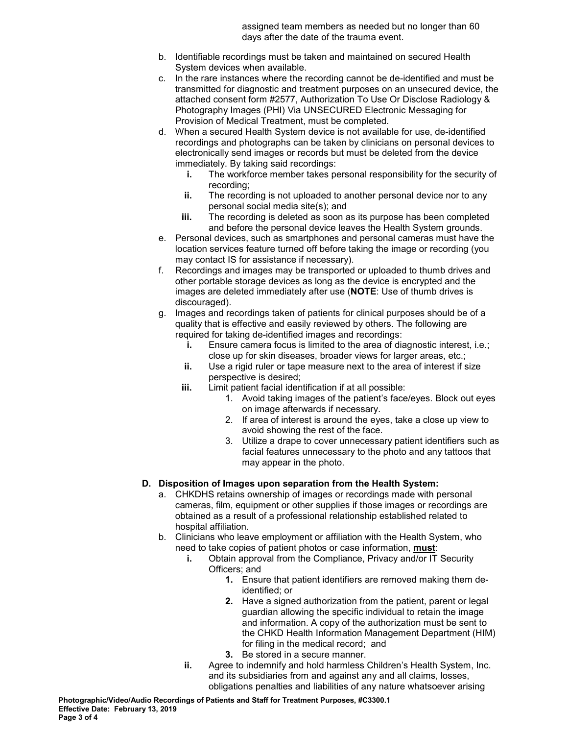assigned team members as needed but no longer than 60 days after the date of the trauma event.

- b. Identifiable recordings must be taken and maintained on secured Health System devices when available.
- c. In the rare instances where the recording cannot be de-identified and must be transmitted for diagnostic and treatment purposes on an unsecured device, the attached consent form #2577, Authorization To Use Or Disclose Radiology & Photography Images (PHI) Via UNSECURED Electronic Messaging for Provision of Medical Treatment, must be completed.
- d. When a secured Health System device is not available for use, de-identified recordings and photographs can be taken by clinicians on personal devices to electronically send images or records but must be deleted from the device immediately. By taking said recordings:
	- **i.** The workforce member takes personal responsibility for the security of recording;
	- **ii.** The recording is not uploaded to another personal device nor to any personal social media site(s); and
	- **iii.** The recording is deleted as soon as its purpose has been completed and before the personal device leaves the Health System grounds.
- e. Personal devices, such as smartphones and personal cameras must have the location services feature turned off before taking the image or recording (you may contact IS for assistance if necessary).
- f. Recordings and images may be transported or uploaded to thumb drives and other portable storage devices as long as the device is encrypted and the images are deleted immediately after use (**NOTE**: Use of thumb drives is discouraged).
- g. Images and recordings taken of patients for clinical purposes should be of a quality that is effective and easily reviewed by others. The following are required for taking de-identified images and recordings:
	- **i.** Ensure camera focus is limited to the area of diagnostic interest, i.e.; close up for skin diseases, broader views for larger areas, etc.;
	- **ii.** Use a rigid ruler or tape measure next to the area of interest if size perspective is desired;
	- **iii.** Limit patient facial identification if at all possible:
		- 1. Avoid taking images of the patient's face/eyes. Block out eyes on image afterwards if necessary.
		- 2. If area of interest is around the eyes, take a close up view to avoid showing the rest of the face.
		- 3. Utilize a drape to cover unnecessary patient identifiers such as facial features unnecessary to the photo and any tattoos that may appear in the photo.
- **D. Disposition of Images upon separation from the Health System:** 
	- a. CHKDHS retains ownership of images or recordings made with personal cameras, film, equipment or other supplies if those images or recordings are obtained as a result of a professional relationship established related to hospital affiliation.
	- b. Clinicians who leave employment or affiliation with the Health System, who need to take copies of patient photos or case information, **must**:
		- **i.** Obtain approval from the Compliance, Privacy and/or IT Security Officers; and
			- **1.** Ensure that patient identifiers are removed making them deidentified; or
			- **2.** Have a signed authorization from the patient, parent or legal guardian allowing the specific individual to retain the image and information. A copy of the authorization must be sent to the CHKD Health Information Management Department (HIM) for filing in the medical record; and
			- **3.** Be stored in a secure manner.
		- **ii.** Agree to indemnify and hold harmless Children's Health System, Inc. and its subsidiaries from and against any and all claims, losses, obligations penalties and liabilities of any nature whatsoever arising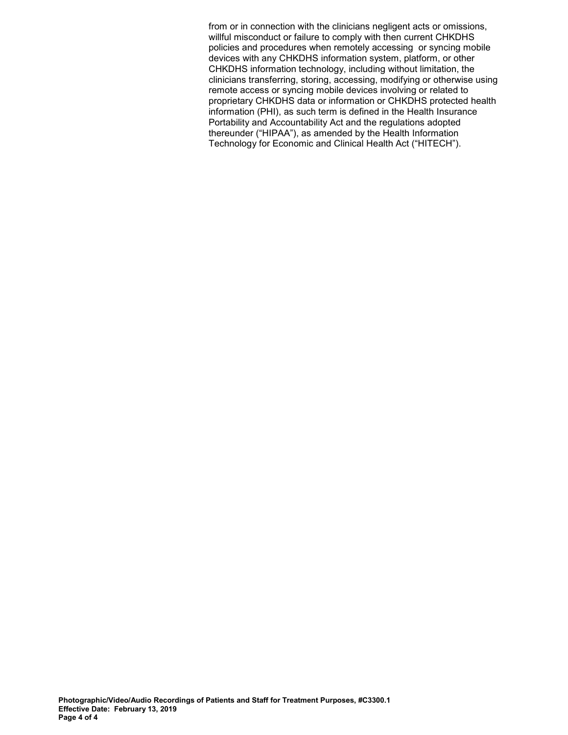from or in connection with the clinicians negligent acts or omissions, willful misconduct or failure to comply with then current CHKDHS policies and procedures when remotely accessing or syncing mobile devices with any CHKDHS information system, platform, or other CHKDHS information technology, including without limitation, the clinicians transferring, storing, accessing, modifying or otherwise using remote access or syncing mobile devices involving or related to proprietary CHKDHS data or information or CHKDHS protected health information (PHI), as such term is defined in the Health Insurance Portability and Accountability Act and the regulations adopted thereunder ("HIPAA"), as amended by the Health Information Technology for Economic and Clinical Health Act ("HITECH").